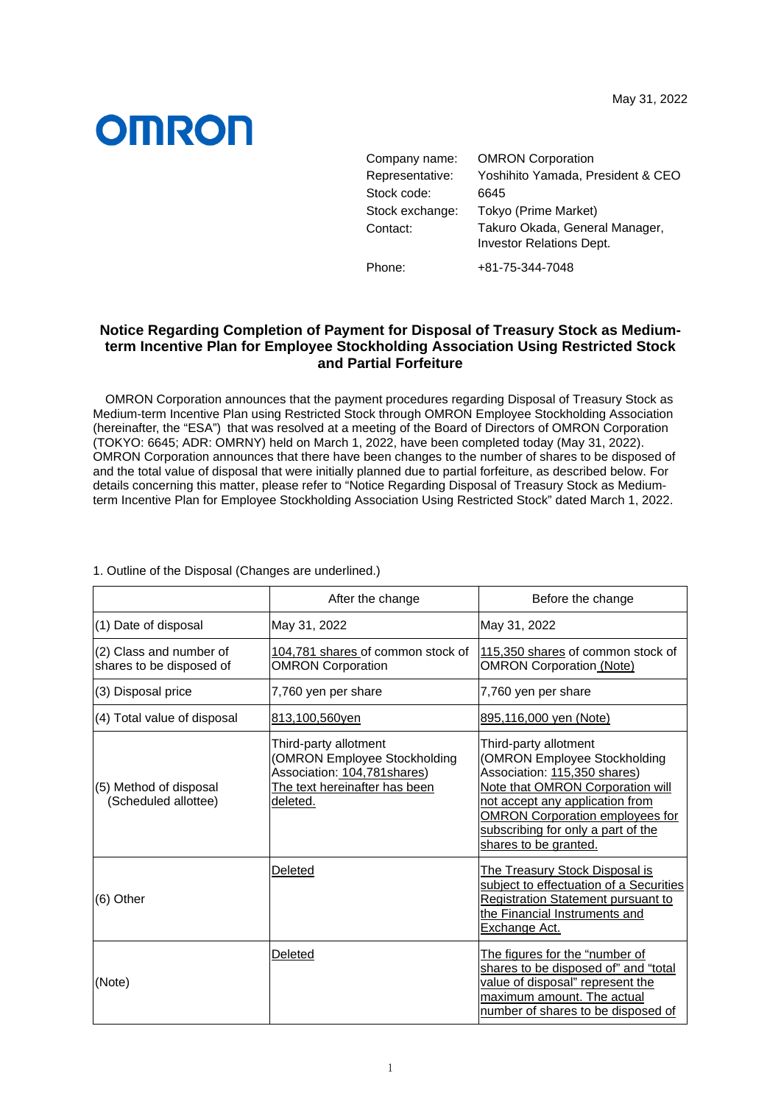## **OMRON**

| Company name:   | <b>OMRON Corporation</b>                                          |
|-----------------|-------------------------------------------------------------------|
| Representative: | Yoshihito Yamada, President & CEO                                 |
| Stock code:     | 6645                                                              |
| Stock exchange: | Tokyo (Prime Market)                                              |
| Contact:        | Takuro Okada, General Manager,<br><b>Investor Relations Dept.</b> |
| Phone:          | +81-75-344-7048                                                   |

## **Notice Regarding Completion of Payment for Disposal of Treasury Stock as Mediumterm Incentive Plan for Employee Stockholding Association Using Restricted Stock and Partial Forfeiture**

OMRON Corporation announces that the payment procedures regarding Disposal of Treasury Stock as Medium-term Incentive Plan using Restricted Stock through OMRON Employee Stockholding Association (hereinafter, the "ESA") that was resolved at a meeting of the Board of Directors of OMRON Corporation (TOKYO: 6645; ADR: OMRNY) held on March 1, 2022, have been completed today (May 31, 2022). OMRON Corporation announces that there have been changes to the number of shares to be disposed of and the total value of disposal that were initially planned due to partial forfeiture, as described below. For details concerning this matter, please refer to "Notice Regarding Disposal of Treasury Stock as Mediumterm Incentive Plan for Employee Stockholding Association Using Restricted Stock" dated March 1, 2022.

|                                                     | After the change                                                                                                                   | Before the change                                                                                                                                                                                                                                                     |
|-----------------------------------------------------|------------------------------------------------------------------------------------------------------------------------------------|-----------------------------------------------------------------------------------------------------------------------------------------------------------------------------------------------------------------------------------------------------------------------|
| (1) Date of disposal                                | May 31, 2022                                                                                                                       | May 31, 2022                                                                                                                                                                                                                                                          |
| (2) Class and number of<br>shares to be disposed of | 104,781 shares of common stock of<br><b>OMRON Corporation</b>                                                                      | 115,350 shares of common stock of<br><b>OMRON Corporation (Note)</b>                                                                                                                                                                                                  |
| (3) Disposal price                                  | 7,760 yen per share                                                                                                                | 7,760 yen per share                                                                                                                                                                                                                                                   |
| (4) Total value of disposal                         | <u>813,100,560yen</u>                                                                                                              | 895,116,000 yen (Note)                                                                                                                                                                                                                                                |
| (5) Method of disposal<br>(Scheduled allottee)      | Third-party allotment<br>(OMRON Employee Stockholding<br>Association: 104,781 shares)<br>The text hereinafter has been<br>deleted. | Third-party allotment<br>(OMRON Employee Stockholding<br>Association: 115,350 shares)<br>Note that OMRON Corporation will<br>not accept any application from<br><b>OMRON Corporation employees for</b><br>subscribing for only a part of the<br>shares to be granted. |
| $(6)$ Other                                         | Deleted                                                                                                                            | <u>The Treasury Stock Disposal is</u><br>subject to effectuation of a Securities<br><b>Registration Statement pursuant to</b><br>the Financial Instruments and<br>Exchange Act.                                                                                       |
| (Note)                                              | Deleted                                                                                                                            | The figures for the "number of<br>shares to be disposed of" and "total<br>value of disposal" represent the<br>maximum amount. The actual<br>number of shares to be disposed of                                                                                        |

1. Outline of the Disposal (Changes are underlined.)